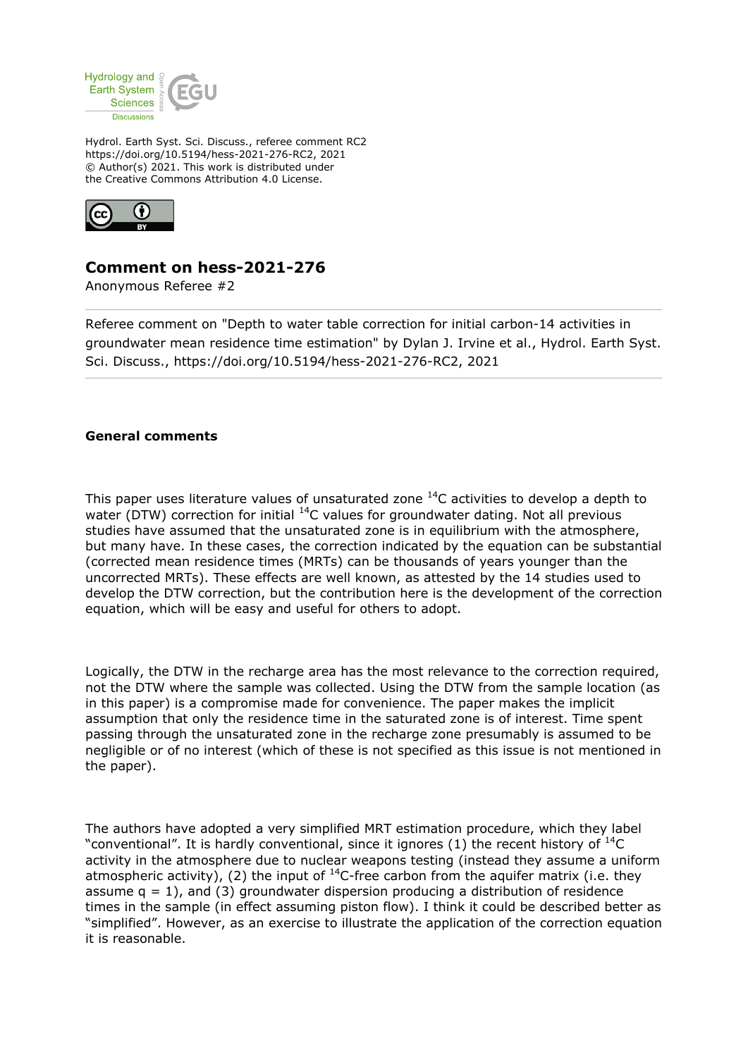

Hydrol. Earth Syst. Sci. Discuss., referee comment RC2 https://doi.org/10.5194/hess-2021-276-RC2, 2021 © Author(s) 2021. This work is distributed under the Creative Commons Attribution 4.0 License.



## **Comment on hess-2021-276**

Anonymous Referee #2

Referee comment on "Depth to water table correction for initial carbon-14 activities in groundwater mean residence time estimation" by Dylan J. Irvine et al., Hydrol. Earth Syst. Sci. Discuss., https://doi.org/10.5194/hess-2021-276-RC2, 2021

## **General comments**

This paper uses literature values of unsaturated zone  $^{14}$ C activities to develop a depth to water (DTW) correction for initial  $^{14}$ C values for groundwater dating. Not all previous studies have assumed that the unsaturated zone is in equilibrium with the atmosphere, but many have. In these cases, the correction indicated by the equation can be substantial (corrected mean residence times (MRTs) can be thousands of years younger than the uncorrected MRTs). These effects are well known, as attested by the 14 studies used to develop the DTW correction, but the contribution here is the development of the correction equation, which will be easy and useful for others to adopt.

Logically, the DTW in the recharge area has the most relevance to the correction required, not the DTW where the sample was collected. Using the DTW from the sample location (as in this paper) is a compromise made for convenience. The paper makes the implicit assumption that only the residence time in the saturated zone is of interest. Time spent passing through the unsaturated zone in the recharge zone presumably is assumed to be negligible or of no interest (which of these is not specified as this issue is not mentioned in the paper).

The authors have adopted a very simplified MRT estimation procedure, which they label "conventional". It is hardly conventional, since it ignores (1) the recent history of  $^{14}C$ activity in the atmosphere due to nuclear weapons testing (instead they assume a uniform atmospheric activity), (2) the input of  $^{14}$ C-free carbon from the aquifer matrix (i.e. they assume  $q = 1$ ), and (3) groundwater dispersion producing a distribution of residence times in the sample (in effect assuming piston flow). I think it could be described better as "simplified". However, as an exercise to illustrate the application of the correction equation it is reasonable.